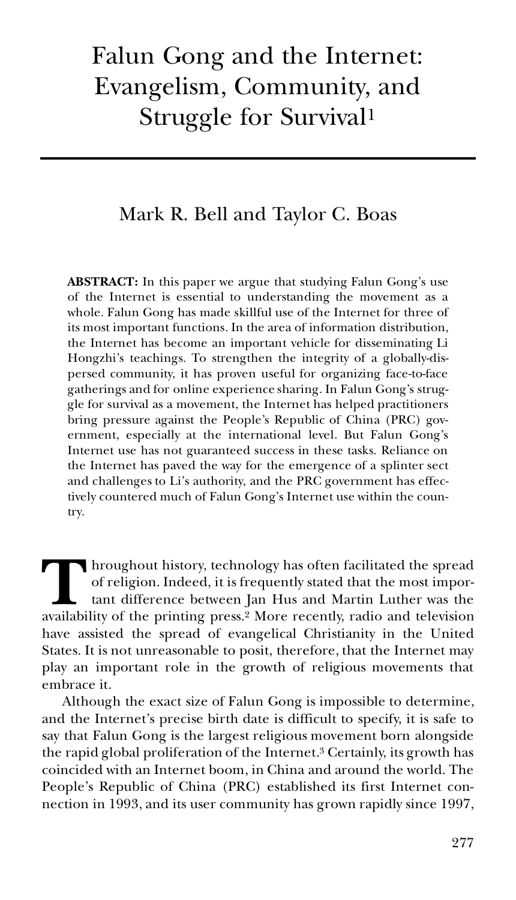# Falun Gong and the Internet: Evangelism, Community, and Struggle for Survival<sup>1</sup>

## Mark R. Bell and Taylor C. Boas

**ABSTRACT:** In this paper we argue that studying Falun Gong's use of the Internet is essential to understanding the movement as a whole. Falun Gong has made skillful use of the Internet for three of its most important functions. In the area of information distribution, the Internet has become an important vehicle for disseminating Li Hongzhi's teachings. To strengthen the integrity of a globally-dispersed community, it has proven useful for organizing face-to-face gatherings and for online experience sharing. In Falun Gong's struggle for survival as a movement, the Internet has helped practitioners bring pressure against the People's Republic of China (PRC) government, especially at the international level. But Falun Gong's Internet use has not guaranteed success in these tasks. Reliance on the Internet has paved the way for the emergence of a splinter sect and challenges to Li's authority, and the PRC government has effectively countered much of Falun Gong's Internet use within the country.

hroughout history, technology has often facilitated the spread of religion. Indeed, it is frequently stated that the most important difference between Jan Hus and Martin Luther was the availability of the printing press.<sup>2</sup> More recently, radio and television and television and television and television have assisted the spread of evangelical Christianity in the United States. It is not unreasonable to posit, therefore, that the Internet may play an important role in the growth of religious movements that embrace it.

Although the exact size of Falun Gong is impossible to determine, and the Internet's precise birth date is difficult to specify, it is safe to say that Falun Gong is the largest religious movement born alongside the rapid global proliferation of the Internet.<sup>3</sup> Certainly, its growth has coincided with an Internet boom, in China and around the world. The People's Republic of China (PRC) established its first Internet con nection in 1993, and its user community has grown rapidly since 1997,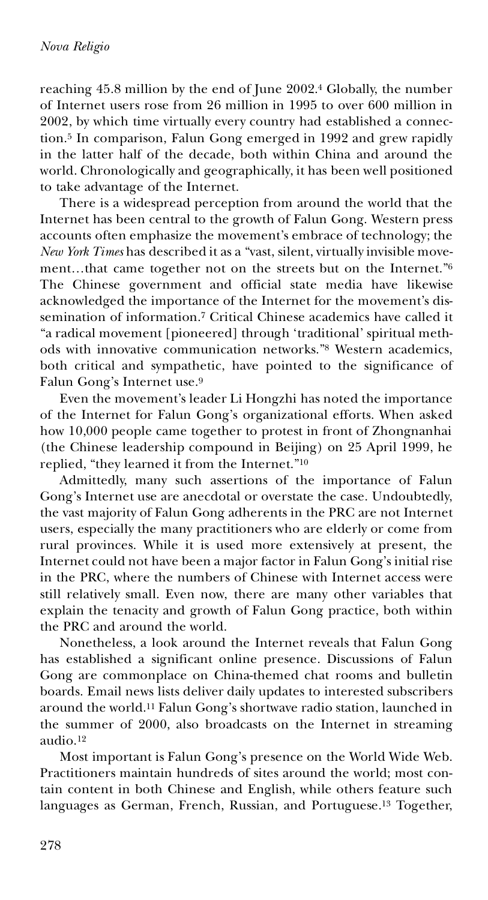reaching 45.8 million by the end of June 2002.<sup>4</sup> Globally, the number of Internet users rose from 26 million in 1995 to over 600 million in 2002, by which time virtually every country had established a connection.<sup>5</sup> In comparison, Falun Gong emerged in 1992 and grew rapidly in the latter half of the decade, both within China and around the world. Chronologically and geographically, it has been well positioned to take advantage of the Internet.

There is a widespread perception from around the world that the Internet has been central to the growth of Falun Gong. Western press accounts often emphasize the movement's embrace of technology; the *New York Times* has described it as a "vast, silent, virtually invisible movement…that came together not on the streets but on the Internet."<sup>6</sup> The Chinese government and official state media have likewise acknowledged the importance of the Internet for the movement's dissemination of information.<sup>7</sup> Critical Chinese academics have called it "a radical movement [pioneered] through 'traditional' spiritual methods with innovative communication networks."<sup>8</sup> Western academics, both critical and sympathetic, have pointed to the significance of Falun Gong's Internet use.<sup>9</sup>

Even the movement's leader Li Hongzhi has noted the importance of the Internet for Falun Gong's organizational efforts. When asked how 10,000 people came together to protest in front of Zhongnanhai (the Chinese leadership compound in Beijing) on 25 April 1999, he replied, "they learned it from the Internet."<sup>10</sup>

Admittedly, many such assertions of the importance of Falun Gong's Internet use are anecdotal or overstate the case. Undoubtedly, the vast majority of Falun Gong adherents in the PRC are not Internet users, especially the many practitioners who are elderly or come from rural provinces. While it is used more extensively at present, the Internet could not have been a major factor in Falun Gong's initial rise in the PRC, where the numbers of Chinese with Internet access were still relatively small. Even now, there are many other variables that explain the tenacity and growth of Falun Gong practice, both within the PRC and around the world.

Nonetheless, a look around the Internet reveals that Falun Gong has established a significant online presence. Discussions of Falun Gong are commonplace on China-themed chat rooms and bulletin boards. Email news lists deliver daily updates to interested subscribers around the world.<sup>11</sup> Falun Gong's shortwave radio station, launched in the summer of 2000, also broadcasts on the Internet in streaming audio.<sup>12</sup>

Most important is Falun Gong's presence on the World Wide Web. Practitioners maintain hundreds of sites around the world; most contain content in both Chinese and English, while others feature such languages as German, French, Russian, and Portuguese.<sup>13</sup> Together,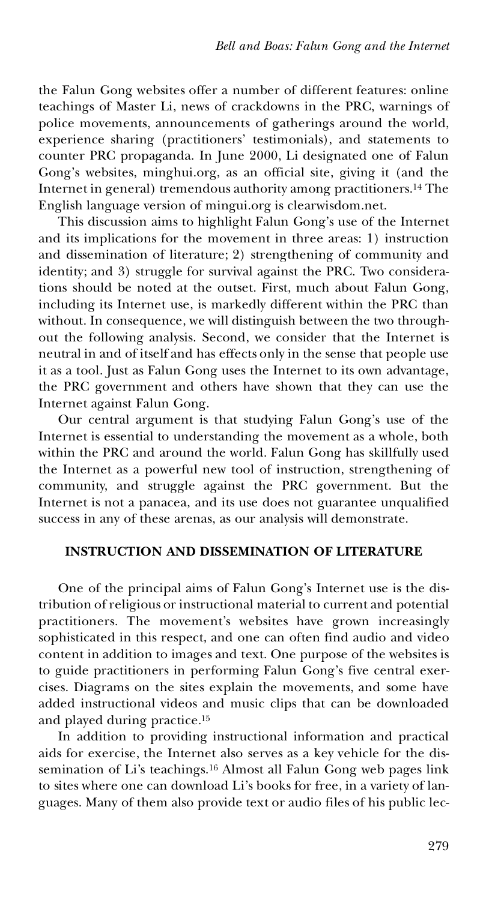the Falun Gong websites offer a number of different features: online teachings of Master Li, news of crackdowns in the PRC, warnings of police movements, announcements of gatherings around the world, experience sharing (practitioners' testimonials), and statements to counter PRC propaganda. In June 2000, Li designated one of Falun Gong's websites, minghui.org, as an official site, giving it (and the Internet in general) tremendous authority among practitioners.<sup>14</sup> The English language version of mingui.org is clearwisdom.net.

This discussion aims to highlight Falun Gong's use of the Internet and its implications for the movement in three areas: 1) instruction and dissemination of literature; 2) strengthening of community and identity; and 3) struggle for survival against the PRC. Two considerations should be noted at the outset. First, much about Falun Gong, including its Internet use, is markedly different within the PRC than without. In consequence, we will distinguish between the two throughout the following analysis. Second, we consider that the Internet is neutral in and of itself and has effects only in the sense that people use it as a tool. Just as Falun Gong uses the Internet to its own advantage, the PRC government and others have shown that they can use the Internet against Falun Gong.

Our central argument is that studying Falun Gong's use of the Internet is essential to understanding the movement as a whole, both within the PRC and around the world. Falun Gong has skillfully used the Internet as a powerful new tool of instruction, strengthening of community, and struggle against the PRC government. But the Internet is not a panacea, and its use does not guarantee unqualified success in any of these arenas, as our analysis will demonstrate.

#### **INSTRUCTION AND DISSEMINATION OF LITERATURE**

One of the principal aims of Falun Gong's Internet use is the distribution of religious or instructional material to current and potential practitioners. The movement's websites have grown increasingly sophisticated in this respect, and one can often find audio and video content in addition to images and text. One purpose of the websites is to guide practitioners in performing Falun Gong's five central exer cises. Diagrams on the sites explain the movements, and some have added instructional videos and music clips that can be downloaded and played during practice.<sup>15</sup>

In addition to providing instructional information and practical aids for exercise, the Internet also serves as a key vehicle for the dissemination of Li's teachings.<sup>16</sup> Almost all Falun Gong web pages link to sites where one can download Li's books for free, in a variety of languages. Many of them also provide text or audio files of his public lec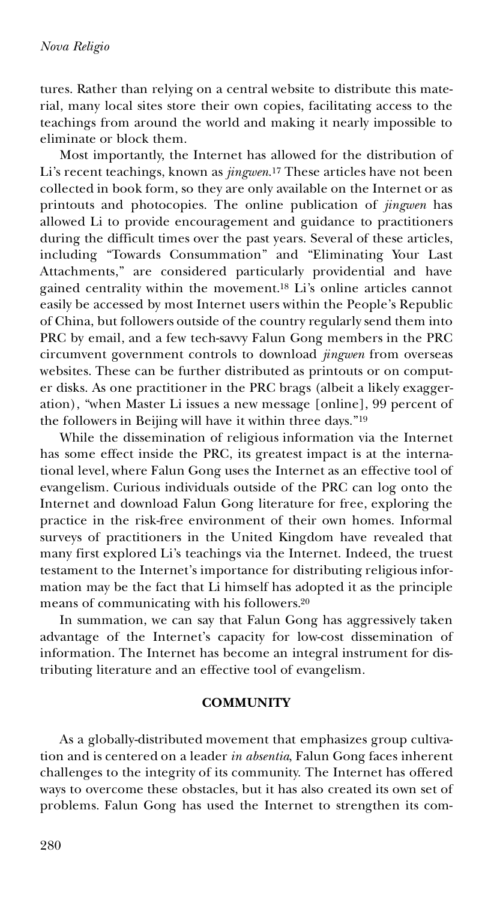tures. Rather than relying on a central website to distribute this material, many local sites store their own copies, facilitating access to the teachings from around the world and making it nearly impossible to eliminate or block them.

Most importantly, the Internet has allowed for the distribution of Li's recent teachings, known as *jingwen*.<sup>17</sup> These articles have not been collected in book form, so they are only available on the Internet or as printouts and photocopies. The online publication of *jingwen* has allowed Li to provide encouragement and guidance to practitioners during the difficult times over the past years. Several of these articles, including "Towards Consummation" and "Eliminating Your Last Attachments," are considered particularly providential and have gained centrality within the movement.<sup>18</sup> Li's online articles cannot easily be accessed by most Internet users within the People's Republic of China, but followers outside of the country regularly send them into PRC by email, and a few tech-savvy Falun Gong members in the PRC circumvent government controls to download *jingwen* from overseas websites. These can be further distributed as printouts or on comput er disks. As one practitioner in the PRC brags (albeit a likely exaggeration), "when Master Li issues a new message [online], 99 percent of the followers in Beijing will have it within three days."<sup>19</sup>

While the dissemination of religious information via the Internet has some effect inside the PRC, its greatest impact is at the international level, where Falun Gong uses the Internet as an effective tool of evangelism. Curious individuals outside of the PRC can log onto the Internet and download Falun Gong literature for free, exploring the practice in the risk-free environment of their own homes. Informal surveys of practitioners in the United Kingdom have revealed that many first explored Li's teachings via the Internet. Indeed, the truest testament to the Internet's importance for distributing religious information may be the fact that Li himself has adopted it as the principle means of communicating with his followers.<sup>20</sup>

In summation, we can say that Falun Gong has aggressively taken advantage of the Internet's capacity for low-cost dissemination of information. The Internet has become an integral instrument for distributing literature and an effective tool of evangelism.

#### **COMMUNITY**

As a globally-distributed movement that emphasizes group cultivation and is centered on a leader *in absentia*, Falun Gong faces inherent challenges to the integrity of its community. The Internet has offered ways to overcome these obstacles, but it has also created its own set of problems. Falun Gong has used the Internet to strengthen its com-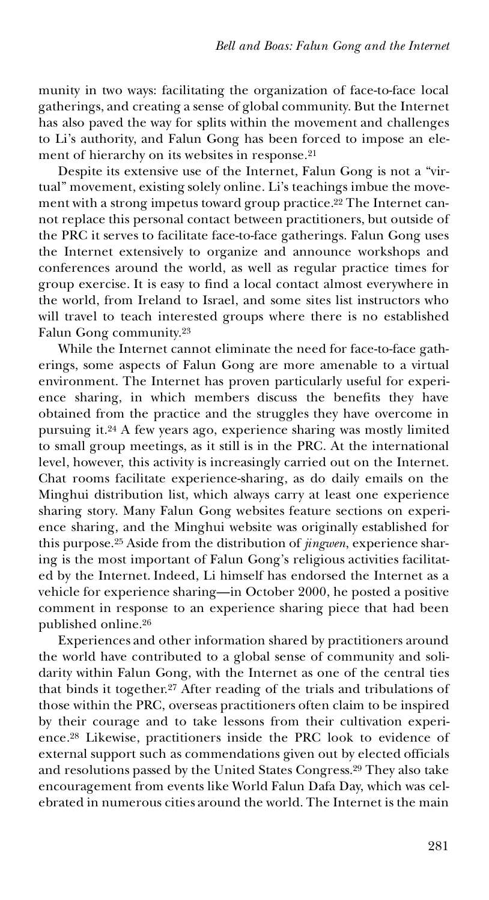munity in two ways: facilitating the organization of face-to-face local gatherings, and creating a sense of global community. But the Internet has also paved the way for splits within the movement and challenges to Li's authority, and Falun Gong has been forced to impose an element of hierarchy on its websites in response.<sup>21</sup>

Despite its extensive use of the Internet, Falun Gong is not a "virtual" movement, existing solely online. Li's teachings imbue the movement with a strong impetus toward group practice.<sup>22</sup> The Internet cannot replace this personal contact between practitioners, but outside of the PRC it serves to facilitate face-to-face gatherings. Falun Gong uses the Internet extensively to organize and announce workshops and conferences around the world, as well as regular practice times for group exercise. It is easy to find a local contact almost everywhere in the world, from Ireland to Israel, and some sites list instructors who will travel to teach interested groups where there is no established Falun Gong community.<sup>23</sup>

While the Internet cannot eliminate the need for face-to-face gatherings, some aspects of Falun Gong are more amenable to a virtual environment. The Internet has proven particularly useful for experi ence sharing, in which members discuss the benefits they have obtained from the practice and the struggles they have overcome in pursuing it.<sup>24</sup> A few years ago, experience sharing was mostly limited to small group meetings, as it still is in the PRC. At the international level, however, this activity is increasingly carried out on the Internet. Chat rooms facilitate experience-sharing, as do daily emails on the Minghui distribution list, which always carry at least one experience sharing story. Many Falun Gong websites feature sections on experi ence sharing, and the Minghui website was originally established for this purpose.<sup>25</sup> Aside from the distribution of *jingwen*, experience sharing is the most important of Falun Gong's religious activities facilitated by the Internet. Indeed, Li himself has endorsed the Internet as a vehicle for experience sharing—in October 2000, he posted a positive comment in response to an experience sharing piece that had been published online.<sup>26</sup>

Experiences and other information shared by practitioners around the world have contributed to a global sense of community and solidarity within Falun Gong, with the Internet as one of the central ties that binds it together.<sup>27</sup> After reading of the trials and tribulations of those within the PRC, overseas practitioners often claim to be inspired by their courage and to take lessons from their cultivation experi ence.<sup>28</sup> Likewise, practitioners inside the PRC look to evidence of external support such as commendations given out by elected officials and resolutions passed by the United States Congress.<sup>29</sup> They also take encouragement from events like World Falun Dafa Day, which was celebrated in numerous cities around the world. The Internet is the main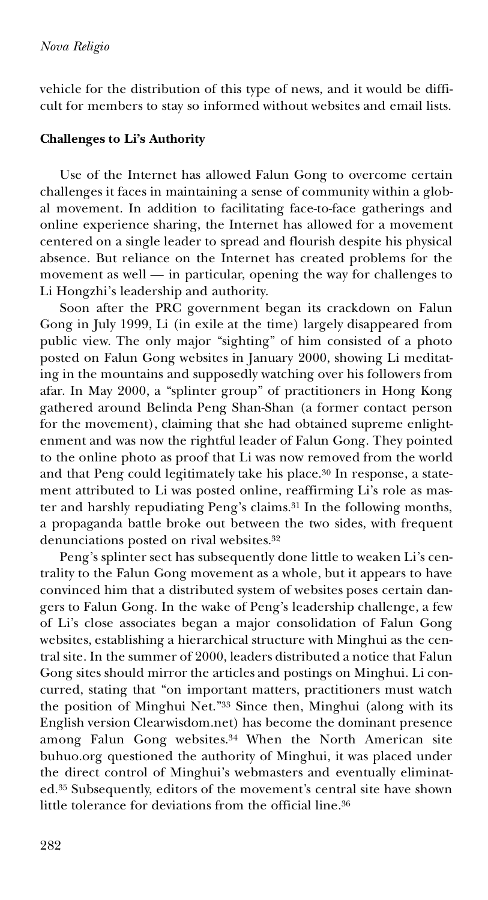vehicle for the distribution of this type of news, and it would be difficult for members to stay so informed without websites and email lists.

#### **Challenges to Li's Authority**

Use of the Internet has allowed Falun Gong to overcome certain challenges it faces in maintaining a sense of community within a global movement. In addition to facilitating face-to-face gatherings and online experience sharing, the Internet has allowed for a movement centered on a single leader to spread and flourish despite his physical absence. But reliance on the Internet has created problems for the movement as well — in particular, opening the way for challenges to Li Hongzhi's leadership and authority.

Soon after the PRC government began its crackdown on Falun Gong in July 1999, Li (in exile at the time) largely disappeared from public view. The only major "sighting" of him consisted of a photo posted on Falun Gong websites in January 2000, showing Li meditating in the mountains and supposedly watching over his followers from afar. In May 2000, a "splinter group" of practitioners in Hong Kong gathered around Belinda Peng Shan-Shan (a former contact person for the movement), claiming that she had obtained supreme enlightenment and was now the rightful leader of Falun Gong. They pointed to the online photo as proof that Li was now removed from the world and that Peng could legitimately take his place.<sup>30</sup> In response, a statement attributed to Li was posted online, reaffirming Li's role as master and harshly repudiating Peng's claims.<sup>31</sup> In the following months, a propaganda battle broke out between the two sides, with frequent denunciations posted on rival websites.<sup>32</sup>

Peng's splinter sect has subsequently done little to weaken Li's centrality to the Falun Gong movement as a whole, but it appears to have convinced him that a distributed system of websites poses certain dangers to Falun Gong. In the wake of Peng's leadership challenge, a few of Li's close associates began a major consolidation of Falun Gong websites, establishing a hierarchical structure with Minghui as the central site. In the summer of 2000, leaders distributed a notice that Falun Gong sites should mirror the articles and postings on Minghui. Li con curred, stating that "on important matters, practitioners must watch the position of Minghui Net."<sup>33</sup> Since then, Minghui (along with its English version Clearwisdom.net) has become the dominant presence among Falun Gong websites.<sup>34</sup> When the North American site buhuo.org questioned the authority of Minghui, it was placed under the direct control of Minghui's webmasters and eventually eliminated.<sup>35</sup> Subsequently, editors of the movement's central site have shown little tolerance for deviations from the official line.<sup>36</sup>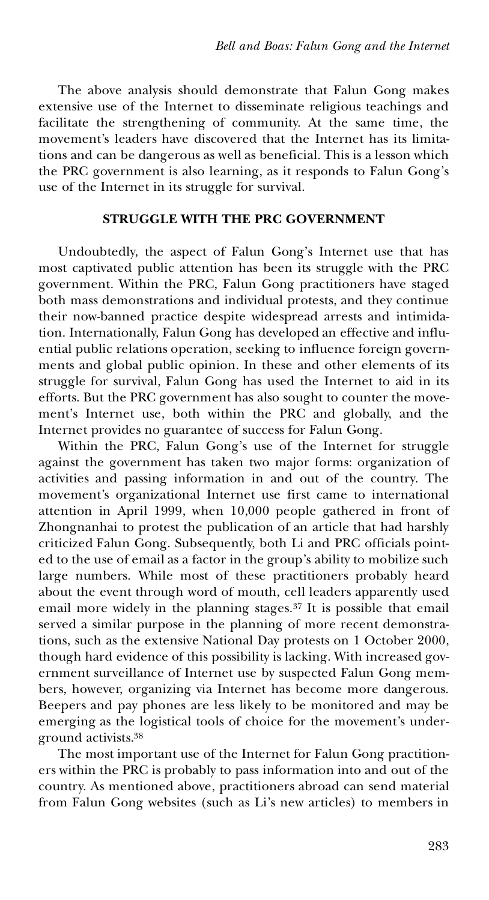The above analysis should demonstrate that Falun Gong makes extensive use of the Internet to disseminate religious teachings and facilitate the strengthening of community. At the same time, the movement's leaders have discovered that the Internet has its limitations and can be dangerous as well as beneficial. This is a lesson which the PRC government is also learning, as it responds to Falun Gong's use of the Internet in its struggle for survival.

#### **STRUGGLE WITH THE PRC GOVERNMENT**

Undoubtedly, the aspect of Falun Gong's Internet use that has most captivated public attention has been its struggle with the PRC government. Within the PRC, Falun Gong practitioners have staged both mass demonstrations and individual protests, and they continue their now-banned practice despite widespread arrests and intimidation. Internationally, Falun Gong has developed an effective and influential public relations operation, seeking to influence foreign governments and global public opinion. In these and other elements of its struggle for survival, Falun Gong has used the Internet to aid in its efforts. But the PRC government has also sought to counter the movement's Internet use, both within the PRC and globally, and the Internet provides no guarantee of success for Falun Gong.

Within the PRC, Falun Gong's use of the Internet for struggle against the government has taken two major forms: organization of activities and passing information in and out of the country. The movement's organizational Internet use first came to international attention in April 1999, when 10,000 people gathered in front of Zhongnanhai to protest the publication of an article that had harshly criticized Falun Gong. Subsequently, both Li and PRC officials pointed to the use of email as a factor in the group's ability to mobilize such large numbers. While most of these practitioners probably heard about the event through word of mouth, cell leaders apparently used email more widely in the planning stages.<sup>37</sup> It is possible that email served a similar purpose in the planning of more recent demonstrations, such as the extensive National Day protests on 1 October 2000, though hard evidence of this possibility is lacking. With increased government surveillance of Internet use by suspected Falun Gong mem bers, however, organizing via Internet has become more dangerous. Beepers and pay phones are less likely to be monitored and may be emerging as the logistical tools of choice for the movement's underground activists.<sup>38</sup>

The most important use of the Internet for Falun Gong practition ers within the PRC is probably to pass information into and out of the country. As mentioned above, practitioners abroad can send material from Falun Gong websites (such as Li's new articles) to members in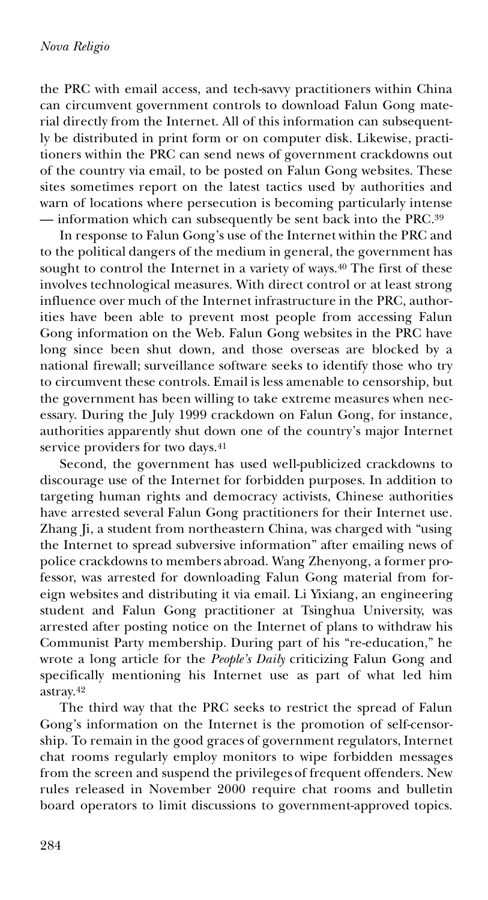the PRC with email access, and tech-savvy practitioners within China can circumvent government controls to download Falun Gong material directly from the Internet. All of this information can subsequently be distributed in print form or on computer disk. Likewise, practitioners within the PRC can send news of government crackdowns out of the country via email, to be posted on Falun Gong websites. These sites sometimes report on the latest tactics used by authorities and warn of locations where persecution is becoming particularly intense — information which can subsequently be sent back into the PRC.<sup>39</sup>

In response to Falun Gong's use of the Internet within the PRC and to the political dangers of the medium in general, the government has sought to control the Internet in a variety of ways.<sup>40</sup> The first of these involves technological measures. With direct control or at least strong influence over much of the Internet infrastructure in the PRC, authorities have been able to prevent most people from accessing Falun Gong information on the Web. Falun Gong websites in the PRC have long since been shut down, and those overseas are blocked by a national firewall; surveillance software seeks to identify those who try to circumvent these controls. Email is less amenable to censorship, but the government has been willing to take extreme measures when nec essary. During the July 1999 crackdown on Falun Gong, for instance, authorities apparently shut down one of the country's major Internet service providers for two days.<sup>41</sup>

Second, the government has used well-publicized crackdowns to discourage use of the Internet for forbidden purposes. In addition to targeting human rights and democracy activists, Chinese authorities have arrested several Falun Gong practitioners for their Internet use. Zhang Ji, a student from northeastern China, was charged with "using the Internet to spread subversive information" after emailing news of police crackdowns to members abroad. Wang Zhenyong, a former professor, was arrested for downloading Falun Gong material from foreign websites and distributing it via email. Li Yixiang, an engineering student and Falun Gong practitioner at Tsinghua University, was arrested after posting notice on the Internet of plans to withdraw his Communist Party membership. During part of his "re-education," he wrote a long article for the *People's Daily* criticizing Falun Gong and specifically mentioning his Internet use as part of what led him astray.<sup>42</sup>

The third way that the PRC seeks to restrict the spread of Falun Gong's information on the Internet is the promotion of self-censorship. To remain in the good graces of government regulators, Internet chat rooms regularly employ monitors to wipe forbidden messages from the screen and suspend the privileges of frequent offenders. New rules released in November 2000 require chat rooms and bulletin board operators to limit discussions to government-approved topics.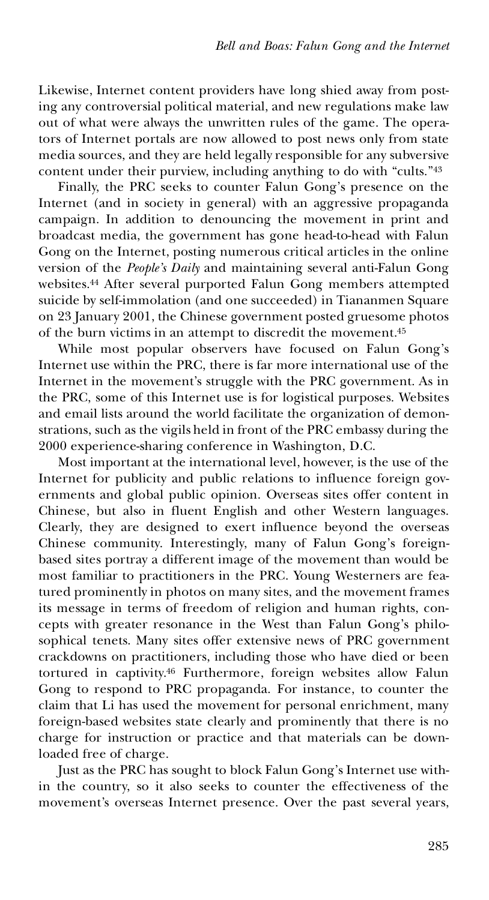Likewise, Internet content providers have long shied away from posting any controversial political material, and new regulations make law out of what were always the unwritten rules of the game. The operators of Internet portals are now allowed to post news only from state media sources, and they are held legally responsible for any subversive content under their purview, including anything to do with "cults."<sup>43</sup>

Finally, the PRC seeks to counter Falun Gong's presence on the Internet (and in society in general) with an aggressive propaganda campaign. In addition to denouncing the movement in print and broadcast media, the government has gone head-to-head with Falun Gong on the Internet, posting numerous critical articles in the online version of the *People's Daily* and maintaining several anti-Falun Gong websites.<sup>44</sup> After several purported Falun Gong members attempted suicide by self-immolation (and one succeeded) in Tiananmen Square on 23 January 2001, the Chinese government posted gruesome photos of the burn victims in an attempt to discredit the movement.<sup>45</sup>

While most popular observers have focused on Falun Gong's Internet use within the PRC, there is far more international use of the Internet in the movement's struggle with the PRC government. As in the PRC, some of this Internet use is for logistical purposes. Websites and email lists around the world facilitate the organization of demonstrations, such as the vigils held in front of the PRC embassy during the 2000 experience-sharing conference in Washington, D.C.

Most important at the international level, however, is the use of the Internet for publicity and public relations to influence foreign governments and global public opinion. Overseas sites offer content in Chinese, but also in fluent English and other Western languages. Clearly, they are designed to exert influence beyond the overseas Chinese community. Interestingly, many of Falun Gong's foreignbased sites portray a different image of the movement than would be most familiar to practitioners in the PRC. Young Westerners are featured prominently in photos on many sites, and the movement frames its message in terms of freedom of religion and human rights, con cepts with greater resonance in the West than Falun Gong's philosophical tenets. Many sites offer extensive news of PRC government crackdowns on practitioners, including those who have died or been tortured in captivity.<sup>46</sup> Furthermore, foreign websites allow Falun Gong to respond to PRC propaganda. For instance, to counter the claim that Li has used the movement for personal enrichment, many foreign-based websites state clearly and prominently that there is no charge for instruction or practice and that materials can be downloaded free of charge.

Just as the PRC has sought to block Falun Gong's Internet use within the country, so it also seeks to counter the effectiveness of the movement's overseas Internet presence. Over the past several years,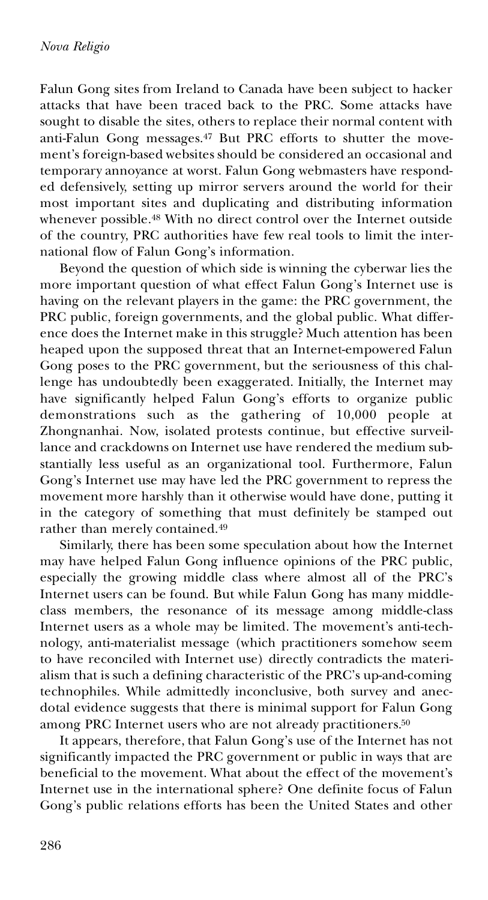Falun Gong sites from Ireland to Canada have been subject to hacker attacks that have been traced back to the PRC. Some attacks have sought to disable the sites, others to replace their normal content with anti-Falun Gong messages.<sup>47</sup> But PRC efforts to shutter the movement's foreign-based websites should be considered an occasional and temporary annoyance at worst. Falun Gong webmasters have responded defensively, setting up mirror servers around the world for their most important sites and duplicating and distributing information whenever possible.<sup>48</sup> With no direct control over the Internet outside of the country, PRC authorities have few real tools to limit the international flow of Falun Gong's information.

Beyond the question of which side is winning the cyberwar lies the more important question of what effect Falun Gong's Internet use is having on the relevant players in the game: the PRC government, the PRC public, foreign governments, and the global public. What differ ence does the Internet make in this struggle? Much attention has been heaped upon the supposed threat that an Internet-empowered Falun Gong poses to the PRC government, but the seriousness of this challenge has undoubtedly been exaggerated. Initially, the Internet may have significantly helped Falun Gong's efforts to organize public demonstrations such as the gathering of 10,000 people at Zhongnanhai. Now, isolated protests continue, but effective surveillance and crackdowns on Internet use have rendered the medium substantially less useful as an organizational tool. Furthermore, Falun Gong's Internet use may have led the PRC government to repress the movement more harshly than it otherwise would have done, putting it in the category of something that must definitely be stamped out rather than merely contained.<sup>49</sup>

Similarly, there has been some speculation about how the Internet may have helped Falun Gong influence opinions of the PRC public, especially the growing middle class where almost all of the PRC's Internet users can be found. But while Falun Gong has many middleclass members, the resonance of its message among middle-class Internet users as a whole may be limited. The movement's anti-technology, anti-materialist message (which practitioners somehow seem to have reconciled with Internet use) directly contradicts the materialism that is such a defining characteristic of the PRC's up-and-coming technophiles. While admittedly inconclusive, both survey and anec dotal evidence suggests that there is minimal support for Falun Gong among PRC Internet users who are not already practitioners.<sup>50</sup>

It appears, therefore, that Falun Gong's use of the Internet has not significantly impacted the PRC government or public in ways that are beneficial to the movement. What about the effect of the movement's Internet use in the international sphere? One definite focus of Falun Gong's public relations efforts has been the United States and other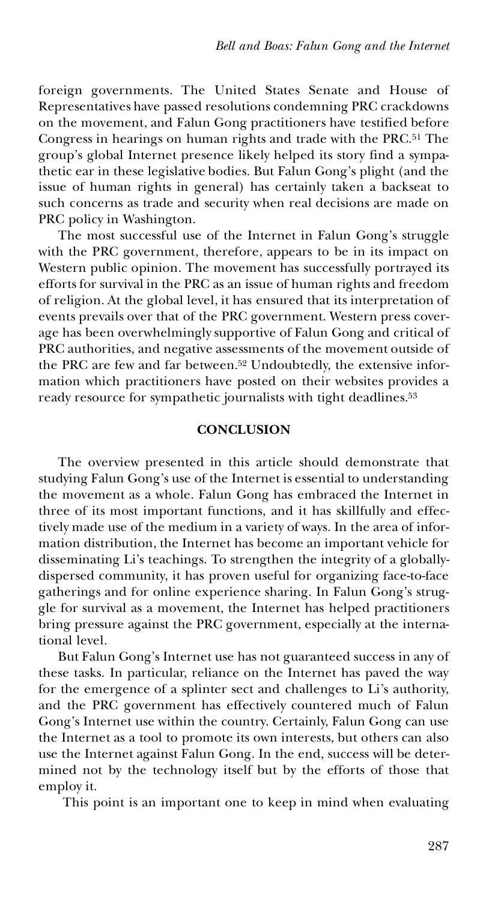foreign governments. The United States Senate and House of Representatives have passed resolutions condemning PRC crackdowns on the movement, and Falun Gong practitioners have testified before Congress in hearings on human rights and trade with the PRC.<sup>51</sup> The group's global Internet presence likely helped its story find a sympathetic ear in these legislative bodies. But Falun Gong's plight (and the issue of human rights in general) has certainly taken a backseat to such concerns as trade and security when real decisions are made on PRC policy in Washington.

The most successful use of the Internet in Falun Gong's struggle with the PRC government, therefore, appears to be in its impact on Western public opinion. The movement has successfully portrayed its efforts for survival in the PRC as an issue of human rights and freedom of religion. At the global level, it has ensured that its interpretation of events prevails over that of the PRC government. Western press coverage has been overwhelmingly supportive of Falun Gong and critical of PRC authorities, and negative assessments of the movement outside of the PRC are few and far between.<sup>52</sup> Undoubtedly, the extensive information which practitioners have posted on their websites provides a ready resource for sympathetic journalists with tight deadlines.<sup>53</sup>

#### **CONCLUSION**

The overview presented in this article should demonstrate that studying Falun Gong's use of the Internet is essential to understanding the movement as a whole. Falun Gong has embraced the Internet in three of its most important functions, and it has skillfully and effectively made use of the medium in a variety of ways. In the area of information distribution, the Internet has become an important vehicle for disseminating Li's teachings. To strengthen the integrity of a globallydispersed community, it has proven useful for organizing face-to-face gatherings and for online experience sharing. In Falun Gong's struggle for survival as a movement, the Internet has helped practitioners bring pressure against the PRC government, especially at the international level.

But Falun Gong's Internet use has not guaranteed success in any of these tasks. In particular, reliance on the Internet has paved the way for the emergence of a splinter sect and challenges to Li's authority, and the PRC government has effectively countered much of Falun Gong's Internet use within the country. Certainly, Falun Gong can use the Internet as a tool to promote its own interests, but others can also use the Internet against Falun Gong. In the end, success will be determined not by the technology itself but by the efforts of those that employ it.

This point is an important one to keep in mind when evaluating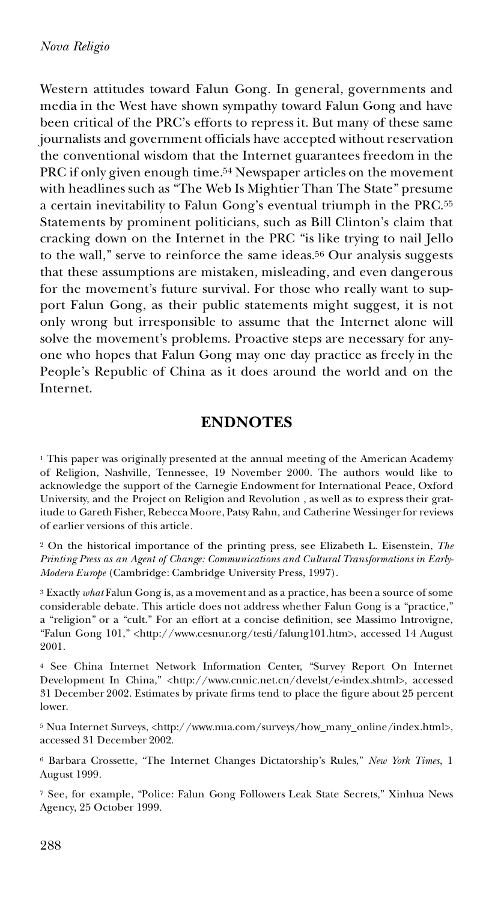Western attitudes toward Falun Gong. In general, governments and media in the West have shown sympathy toward Falun Gong and have been critical of the PRC's efforts to repress it. But many of these same journalists and government officials have accepted without reservation the conventional wisdom that the Internet guarantees freedom in the PRC if only given enough time.<sup>54</sup> Newspaper articles on the movement with headlines such as "The Web Is Mightier Than The State" presume a certain inevitability to Falun Gong's eventual triumph in the PRC.<sup>55</sup> Statements by prominent politicians, such as Bill Clinton's claim that cracking down on the Internet in the PRC "is like trying to nail Jello to the wall," serve to reinforce the same ideas.<sup>56</sup> Our analysis suggests that these assumptions are mistaken, misleading, and even dangerous for the movement's future survival. For those who really want to support Falun Gong, as their public statements might suggest, it is not only wrong but irresponsible to assume that the Internet alone will solve the movement's problems. Proactive steps are necessary for any one who hopes that Falun Gong may one day practice as freely in the People's Republic of China as it does around the world and on the Internet.

### **ENDNOTES**

<sup>1</sup> This paper was originally presented at the annual meeting of the American Academy of Religion, Nashville, Tennessee, 19 November 2000. The authors would like to acknowledge the support of the Carnegie Endowment for International Peace, Oxford University, and the Project on Religion and Revolution , as well as to express their gratitude to Gareth Fisher, Rebecca Moore, Patsy Rahn, and Catherine Wessinger for reviews of earlier versions of this article.

<sup>2</sup> On the historical importance of the printing press, see Elizabeth L. Eisenstein, *The Printing Press as an Agent of Change: Communications and Cultural Transformations in Early-Modern Europe* (Cambridge: Cambridge University Press, 1997).

<sup>3</sup> Exactly *what* Falun Gong is, as a movement and as a practice, has been a source of some considerable debate. This article does not address whether Falun Gong is a "practice," a "religion" or a "cult." For an effort at a concise definition, see Massimo Introvigne, "Falun Gong 101," <http://www.cesnur.org/testi/falung101.htm>, accessed 14 August 2001.

<sup>4</sup> See China Internet Network Information Center, "Survey Report On Internet Development In China," <http://www.cnnic.net.cn/develst/e-index.shtml>, accessed 31 December 2002. Estimates by private firms tend to place the figure about 25 percent lower.

<sup>5</sup> Nua Internet Surveys, <http://www.nua.com/surveys/how\_many\_online/index.html>, accessed 31 December 2002.

<sup>6</sup> Barbara Crossette, "The Internet Changes Dictatorship's Rules," *New York Times*, 1 August 1999.

<sup>7</sup> See, for example, "Police: Falun Gong Followers Leak State Secrets," Xinhua News Agency, 25 October 1999.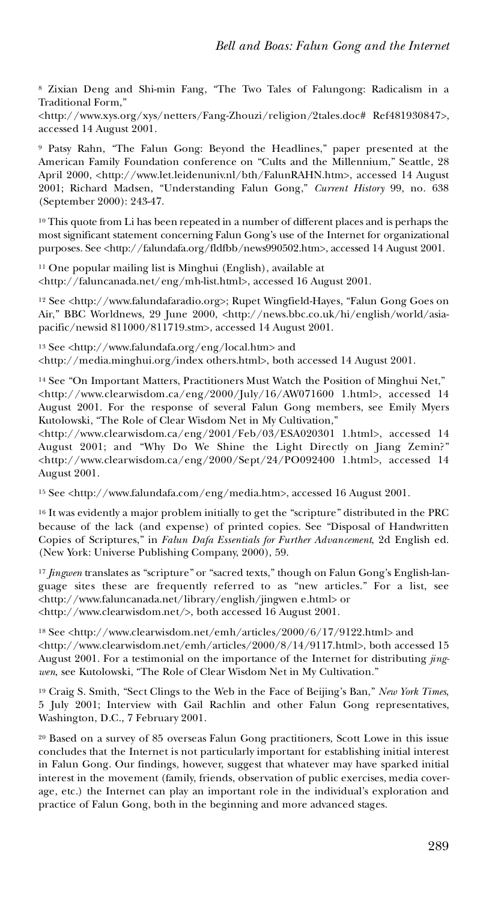<sup>8</sup> Zixian Deng and Shi-min Fang, "The Two Tales of Falungong: Radicalism in a Traditional Form,"

<http://www.xys.org/xys/netters/Fang-Zhouzi/religion/2tales.doc# Ref481930847>, accessed 14 August 2001.

<sup>9</sup> Patsy Rahn, "The Falun Gong: Beyond the Headlines," paper presented at the American Family Foundation conference on "Cults and the Millennium," Seattle, 28 April 2000, <http://www.let.leidenuniv.nl/bth/FalunRAHN.htm>, accessed 14 August 2001; Richard Madsen, "Understanding Falun Gong," *Current History* 99, no. 638 (September 2000): 243-47.

<sup>10</sup> This quote from Li has been repeated in a number of different places and is perhaps the most significant statement concerning Falun Gong's use of the Internet for organizational purposes. See <http://falundafa.org/fldfbb/news990502.htm>, accessed 14 August 2001.

<sup>11</sup> One popular mailing list is Minghui (English), available at <br>  $\langle$ http://faluncanada.net/eng/mh-list.html>, accessed 16 August 2001.

<sup>12</sup> See <http://www.falundafaradio.org>; Rupet Wingfield-Hayes, "Falun Gong Goes on Air," BBC Worldnews, 29 June 2000, <http://news.bbc.co.uk/hi/english/world/asiapacific/newsid 811000/811719.stm>, accessed 14 August 2001.

<sup>13</sup> See <http://www.falundafa.org/eng/local.htm> and <http://media.minghui.org/index others.html>, both accessed 14 August 2001.

<sup>14</sup> See "On Important Matters, Practitioners Must Watch the Position of Minghui Net,"  $\langle$ http://www.clearwisdom.ca/eng/2000/July/16/AW071600 1.html>, accessed 14 August 2001. For the response of several Falun Gong members, see Emily Myers Kutolowski, "The Role of Clear Wisdom Net in My Cultivation,"

<http://www.clearwisdom.ca/eng/2001/Feb/03/ESA020301 1.html>, accessed 14 August 2001; and "Why Do We Shine the Light Directly on Jiang Zemin?" <http://www.clearwisdom.ca/eng/2000/Sept/24/PO092400 1.html>, accessed 14 August 2001.

<sup>15</sup> See <http://www.falundafa.com/eng/media.htm>, accessed 16 August 2001.

<sup>16</sup> It was evidently a major problem initially to get the "scripture" distributed in the PRC because of the lack (and expense) of printed copies. See "Disposal of Handwritten Copies of Scriptures," in *Falun Dafa Essentials for Further Advancement*, 2d English ed. (New York: Universe Publishing Company, 2000), 59.

<sup>17</sup> *Jingwen* translates as "scripture" or "sacred texts," though on Falun Gong's English-language sites these are frequently referred to as "new articles." For a list, see <http://www.faluncanada.net/library/english/jingwen e.html> or <http://www.clearwisdom.net/>, both accessed 16 August 2001.

<sup>18</sup> See <http://www.clearwisdom.net/emh/articles/2000/6/17/9122.html> and <http://www.clearwisdom.net/emh/articles/2000/8/14/9117.html>, both accessed 15 August 2001. For a testimonial on the importance of the Internet for distributing *jing wen*, see Kutolowski, "The Role of Clear Wisdom Net in My Cultivation*.*"

<sup>19</sup> Craig S. Smith, "Sect Clings to the Web in the Face of Beijing's Ban," *New York Times*, 5 July 2001; Interview with Gail Rachlin and other Falun Gong representatives, Washington, D.C., 7 February 2001.

<sup>20</sup> Based on a survey of 85 overseas Falun Gong practitioners, Scott Lowe in this issue concludes that the Internet is not particularly important for establishing initial interest in Falun Gong. Our findings, however, suggest that whatever may have sparked initial interest in the movement (family, friends, observation of public exercises, media cover age, etc.) the Internet can play an important role in the individual's exploration and practice of Falun Gong, both in the beginning and more advanced stages.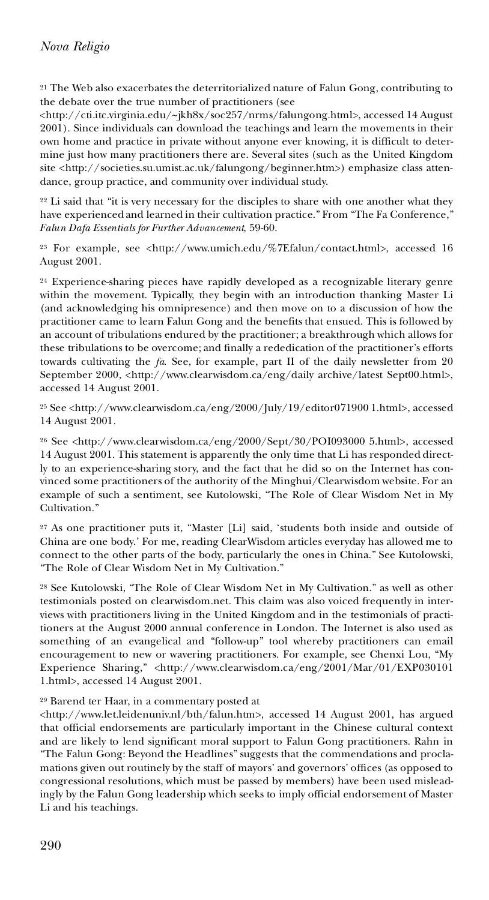<sup>21</sup> The Web also exacerbates the deterritorialized nature of Falun Gong, contributing to the debate over the true number of practitioners (see

<http://cti.itc.virginia.edu/~jkh8x/soc257/nrms/falungong.html>, accessed 14 August 2001). Since individuals can download the teachings and learn the movements in their own home and practice in private without anyone ever knowing, it is difficult to determine just how many practitioners there are. Several sites (such as the United Kingdom site <http://societies.su.umist.ac.uk/falungong/beginner.htm>) emphasize class atten dance, group practice, and community over individual study.

<sup>22</sup> Li said that "it is very necessary for the disciples to share with one another what they have experienced and learned in their cultivation practice." From "The Fa Conference," *Falun Dafa Essentials for Further Advancement*, 59-60.

<sup>23</sup> For example, see <http://www.umich.edu/%7Efalun/contact.html>, accessed 16 August 2001.

<sup>24</sup> Experience-sharing pieces have rapidly developed as a recognizable literary genre within the movement. Typically, they begin with an introduction thanking Master Li (and acknowledging his omnipresence) and then move on to a discussion of how the practitioner came to learn Falun Gong and the benefits that ensued. This is followed by an account of tribulations endured by the practitioner; a breakthrough which allows for these tribulations to be overcome; and finally a rededication of the practitioner's efforts towards cultivating the *fa*. See, for example, part II of the daily newsletter from 20 September 2000, <http://www.clearwisdom.ca/eng/daily archive/latest Sept00.html>, accessed 14 August 2001.

<sup>25</sup> See <http://www.clearwisdom.ca/eng/2000/July/19/editor071900 1.html>, accessed 14 August 2001.

<sup>26</sup> See <http://www.clearwisdom.ca/eng/2000/Sept/30/POI093000 5.html>, accessed 14 August 2001. This statement is apparently the only time that Li has responded directly to an experience-sharing story, and the fact that he did so on the Internet has con vinced some practitioners of the authority of the Minghui/Clearwisdom website. For an example of such a sentiment, see Kutolowski, "The Role of Clear Wisdom Net in My Cultivation."

<sup>27</sup> As one practitioner puts it, "Master [Li] said, 'students both inside and outside of China are one body.' For me, reading ClearWisdom articles everyday has allowed me to connect to the other parts of the body, particularly the ones in China." See Kutolowski, "The Role of Clear Wisdom Net in My Cultivation."

<sup>28</sup> See Kutolowski, "The Role of Clear Wisdom Net in My Cultivation." as well as other testimonials posted on clearwisdom.net. This claim was also voiced frequently in interviews with practitioners living in the United Kingdom and in the testimonials of practitioners at the August 2000 annual conference in London. The Internet is also used as something of an evangelical and "follow-up" tool whereby practitioners can email encouragement to new or wavering practitioners. For example, see Chenxi Lou, "My Experience Sharing," <http://www.clearwisdom.ca/eng/2001/Mar/01/EXP030101 1.html>, accessed 14 August 2001.

<sup>29</sup> Barend ter Haar, in a commentary posted at<br><http://www.let.leidenuniv.nl/bth/falun.htm>, accessed 14 August 2001, has argued that official endorsements are particularly important in the Chinese cultural context and are likely to lend significant moral support to Falun Gong practitioners. Rahn in "The Falun Gong: Beyond the Headlines" suggests that the commendations and proclamations given out routinely by the staff of mayors' and governors' offices (as opposed to congressional resolutions, which must be passed by members) have been used misleadingly by the Falun Gong leadership which seeks to imply official endorsement of Master Li and his teachings.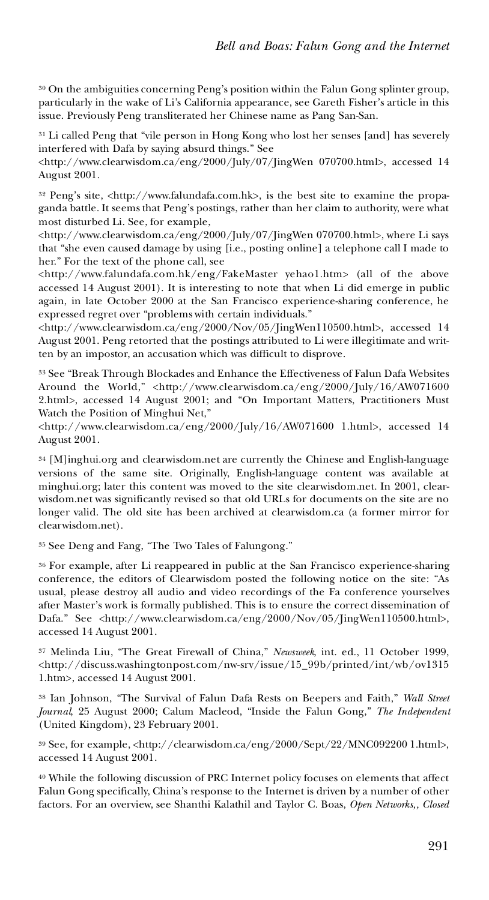<sup>30</sup> On the ambiguities concerning Peng's position within the Falun Gong splinter group, particularly in the wake of Li's California appearance, see Gareth Fisher's article in this issue. Previously Peng transliterated her Chinese name as Pang San-San.

<sup>31</sup> Li called Peng that "vile person in Hong Kong who lost her senses [and] has severely interfered with Dafa by saying absurd things." See

<http://www.clearwisdom.ca/eng/2000/July/07/JingWen 070700.html>, accessed 14 August 2001.

<sup>32</sup> Peng's site, <http://www.falundafa.com.hk>, is the best site to examine the propaganda battle. It seems that Peng's postings, rather than her claim to authority, were what most disturbed Li. See, for example,

<http://www.clearwisdom.ca/eng/2000/July/07/JingWen 070700.html>, where Li says that "she even caused damage by using [i.e., posting online] a telephone call I made to her." For the text of the phone call, see

<http://www.falundafa.com.hk/eng/FakeMaster yehao1.htm> (all of the above accessed 14 August 2001). It is interesting to note that when Li did emerge in public again, in late October 2000 at the San Francisco experience-sharing conference, he expressed regret over "problems with certain individuals."

<http://www.clearwisdom.ca/eng/2000/Nov/05/JingWen110500.html>, accessed 14 August 2001. Peng retorted that the postings attributed to Li were illegitimate and written by an impostor, an accusation which was difficult to disprove.

<sup>33</sup> See "Break Through Blockades and Enhance the Effectiveness of Falun Dafa Websites Around the World," <http://www.clearwisdom.ca/eng/2000/July/16/AW071600 2.html>, accessed 14 August 2001; and "On Important Matters, Practitioners Must Watch the Position of Minghui Net,"

<http://www.clearwisdom.ca/eng/2000/July/16/AW071600 1.html>, accessed 14 August 2001.

<sup>34</sup> [M]inghui.org and clearwisdom.net are currently the Chinese and English-language versions of the same site. Originally, English-language content was available at minghui.org; later this content was moved to the site clearwisdom.net. In 2001, clearwisdom.net was significantly revised so that old URLs for documents on the site are no longer valid. The old site has been archived at clearwisdom.ca (a former mirror for clearwisdom.net).

<sup>35</sup> See Deng and Fang, "The Two Tales of Falungong."

<sup>36</sup> For example, after Li reappeared in public at the San Francisco experience-sharing conference, the editors of Clearwisdom posted the following notice on the site: "As usual, please destroy all audio and video recordings of the Fa conference yourselves after Master's work is formally published. This is to ensure the correct dissemination of Dafa." See <http://www.clearwisdom.ca/eng/2000/Nov/05/JingWen110500.html>, accessed 14 August 2001.

<sup>37</sup> Melinda Liu, "The Great Firewall of China," *Newsweek*, int. ed., 11 October 1999, <http://discuss.washingtonpost.com/nw-srv/issue/15\_99b/printed/int/wb/ov1315 1.htm>, accessed 14 August 2001.

<sup>38</sup> Ian Johnson, "The Survival of Falun Dafa Rests on Beepers and Faith," *Wall Street Journal*, 25 August 2000; Calum Macleod, "Inside the Falun Gong," *The Independent* (United Kingdom), 23 February 2001.

<sup>39</sup> See, for example, <http://clearwisdom.ca/eng/2000/Sept/22/MNC092200 1.html>, accessed 14 August 2001.

<sup>40</sup> While the following discussion of PRC Internet policy focuses on elements that affect Falun Gong specifically, China's response to the Internet is driven by a number of other factors. For an overview, see Shanthi Kalathil and Taylor C. Boas, *Open Networks,, Closed*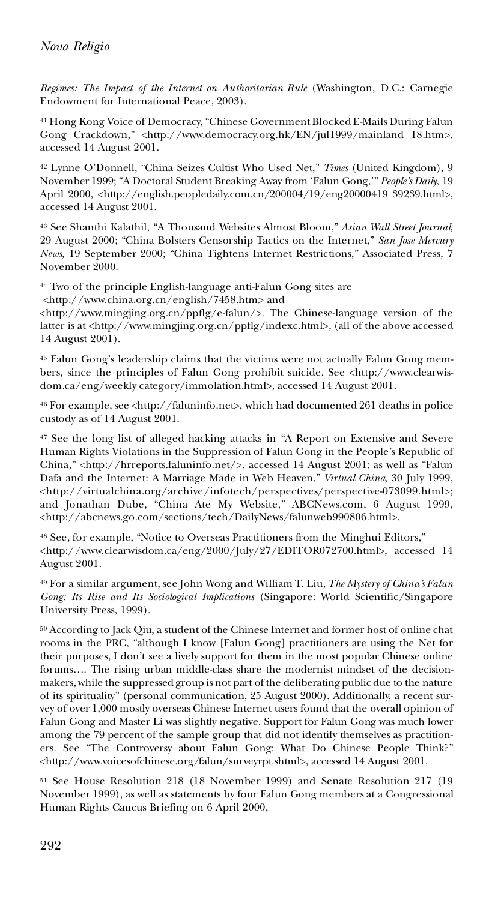*Regimes: The Impact of the Internet on Authoritarian Rule* (Washington, D.C.: Carnegie Endowment for International Peace, 2003).

<sup>41</sup> Hong Kong Voice of Democracy, "Chinese Government Blocked E-Mails During Falun Gong Crackdown," <http://www.democracy.org.hk/EN/jul1999/mainland 18.htm>, accessed 14 August 2001.

<sup>42</sup> Lynne O'Donnell, "China Seizes Cultist Who Used Net," *Times* (United Kingdom), 9 November 1999; "A Doctoral Student Breaking Away from 'Falun Gong,'" *People's Daily*, 19 April 2000, <http://english.peopledaily.com.cn/200004/19/eng20000419 39239.html>, accessed 14 August 2001.

<sup>43</sup> See Shanthi Kalathil, "A Thousand Websites Almost Bloom," *Asian Wall Street Journal*, 29 August 2000; "China Bolsters Censorship Tactics on the Internet," *San Jose Mercury News*, 19 September 2000; "China Tightens Internet Restrictions," Associated Press, 7 November 2000.

<sup>44</sup> Two of the principle English-language anti-Falun Gong sites are

<http://www.china.org.cn/english/7458.htm> and

<http://www.mingjing.org.cn/ppflg/e-falun/>. The Chinese-language version of the latter is at <http://www.mingjing.org.cn/ppflg/indexc.html>, (all of the above accessed 14 August 2001).

<sup>45</sup> Falun Gong's leadership claims that the victims were not actually Falun Gong mem bers, since the principles of Falun Gong prohibit suicide. See <http://www.clearwisdom.ca/eng/weekly category/immolation.html>, accessed 14 August 2001.

<sup>46</sup> For example, see <http://faluninfo.net>, which had documented 261 deaths in police custody as of 14 August 2001.

<sup>47</sup> See the long list of alleged hacking attacks in "A Report on Extensive and Severe Human Rights Violations in the Suppression of Falun Gong in the People's Republic of China," <http://hrreports.faluninfo.net/>, accessed 14 August 2001; as well as "Falun Dafa and the Internet: A Marriage Made in Web Heaven," *Virtual China*, 30 July 1999, <http://virtualchina.org/archive/infotech/perspectives/perspective-073099.html>; and Jonathan Dube, "China Ate My Website," ABCNews.com, 6 August 1999, <http://abcnews.go.com/sections/tech/DailyNews/falunweb990806.html>.

<sup>48</sup> See, for example, "Notice to Overseas Practitioners from the Minghui Editors," <http://www.clearwisdom.ca/eng/2000/July/27/EDITOR072700.html>, accessed 14 August 2001.

<sup>49</sup> For a similar argument, see John Wong and William T. Liu, *The Mystery of China's Falun Gong: Its Rise and Its Sociological Implications* (Singapore: World Scientific/Singapore University Press, 1999).

<sup>50</sup> According to Jack Qiu, a student of the Chinese Internet and former host of online chat rooms in the PRC, "although I know [Falun Gong] practitioners are using the Net for their purposes, I don't see a lively support for them in the most popular Chinese online forums…. The rising urban middle-class share the modernist mindset of the decisionmakers, while the suppressed group is not part of the deliberating public due to the nature of its spirituality" (personal communication, 25 August 2000). Additionally, a recent sur vey of over 1,000 mostly overseas Chinese Internet users found that the overall opinion of Falun Gong and Master Li was slightly negative. Support for Falun Gong was much lower among the 79 percent of the sample group that did not identify themselves as practition ers. See "The Controversy about Falun Gong: What Do Chinese People Think?" <http://www.voicesofchinese.org/falun/surveyrpt.shtml>, accessed 14 August 2001.

<sup>51</sup> See House Resolution 218 (18 November 1999) and Senate Resolution 217 (19 November 1999), as well as statements by four Falun Gong members at a Congressional Human Rights Caucus Briefing on 6 April 2000,